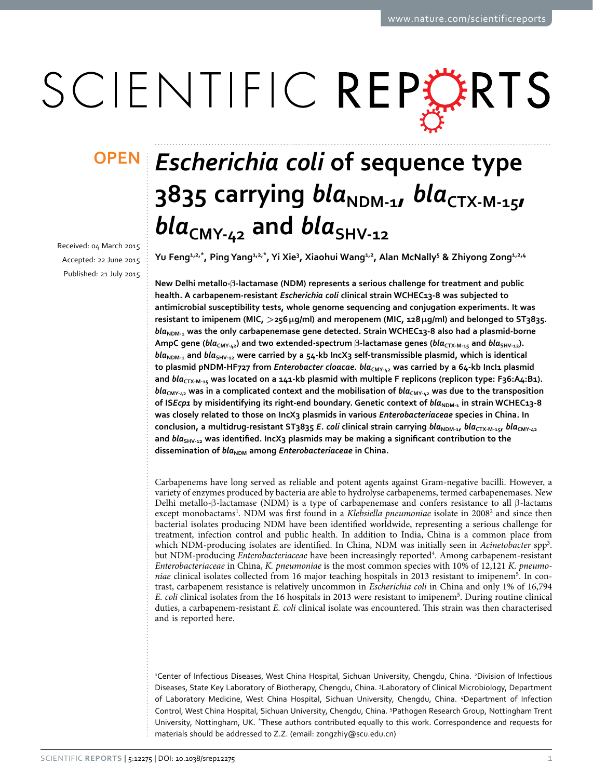# SCIENTIFIC REPERTS

received: 04 March 2015 accepted: 22 June 2015 Published: 21 July 2015

## *Escherichia coli* **of sequence type OPEN**3835 carrying *bla<sub>NDM-1</sub>*, *bla<sub>CTX-M-15*</sub>  $bla_{CMY-L2}$  and  $bla_{SHY-L2}$

**Yu Feng1,2,\*, PingYang1,2,\*, Yi Xie3 , Xiaohui Wang1,2 , Alan McNally5 & Zhiyong Zong1,2,4**

**New Delhi metallo-β-lactamase (NDM) represents a serious challenge for treatment and public health. A carbapenem-resistant** *Escherichia coli* **clinical strain WCHEC13-8 was subjected to antimicrobial susceptibility tests, whole genome sequencing and conjugation experiments. It was resistant to imipenem (MIC, >256μg/ml) and meropenem (MIC, 128μg/ml) and belonged to ST3835.**  bla<sub>NDM-1</sub> was the only carbapenemase gene detected. Strain WCHEC13-8 also had a plasmid-borne **AmpC gene (***blα***<sub>CMY-42</sub>) and two extended-spectrum β-lactamase genes (***blα***<sub>CTX-M-15</sub> and** *blα***<sub>SHV-12</sub>).** bla<sub>NDM-1</sub> and *bla*<sub>SHV-12</sub> were carried by a 54-kb IncX3 self-transmissible plasmid, which is identical to plasmid pNDM-HF727 from *Enterobacter cloacae*.  $bla_{CMY\text{-}42}$  was carried by a 64-kb IncI1 plasmid and *bla<sub>CTX-M-15</sub> was located on a 141-kb plasmid with multiple F replicons (replicon type: F36:A4:B1). bla***CMY-42 was in a complicated context and the mobilisation of** *bla***CMY-42 was due to the transposition**  of IS*Ecp1* by misidentifying its right-end boundary. Genetic context of  $bla_{\text{NDM-1}}$  in strain WCHEC13-8 **was closely related to those on IncX3 plasmids in various** *Enterobacteriaceae* **species in China. In conclusion, a multidrug-resistant ST3835** *E. coli* **clinical strain carrying** *bla***NDM-1,** *bla***CTX-M-15,** *bla***CMY-42** and *bla*<sub>SHV-12</sub> was identified. IncX3 plasmids may be making a significant contribution to the dissemination of *bla*<sub>NDM</sub> among *Enterobacteriaceae* in China.

Carbapenems have long served as reliable and potent agents against Gram-negative bacilli. However, a variety of enzymes produced by bacteria are able to hydrolyse carbapenems, termed carbapenemases. New Delhi metallo-β-lactamase (NDM) is a type of carbapenemase and confers resistance to all β-lactams except monobactams<sup>[1](#page-5-0)</sup>. NDM was first found in a *Klebsiella pneumoniae* isolate in [2](#page-5-1)008<sup>2</sup> and since then bacterial isolates producing NDM have been identified worldwide, representing a serious challenge for treatment, infection control and public health. In addition to India, China is a common place from which NDM-producing isolates are identified. In China, NDM was initially seen in *Acinetobacter* spp[3](#page-6-0) . but NDM-producing *Enterobacteriaceae* have been increasingly reported<sup>[4](#page-6-1)</sup>. Among carbapenem-resistant *Enterobacteriaceae* in China, *K. pneumoniae* is the most common species with 10% of 12,121 *K. pneumoniae* clinical isolates collected from 16 major teaching hospitals in 2013 resistant to imipene[m5](#page-6-2) . In contrast, carbapenem resistance is relatively uncommon in *Escherichia coli* in China and only 1% of 16,794 *E. coli* clinical isolates from the 16 hospitals in 2013 were resistant to imipene[m5](#page-6-2) . During routine clinical duties, a carbapenem-resistant *E. coli* clinical isolate was encountered. This strain was then characterised and is reported here.

<sup>2</sup>Center of Infectious Diseases, West China Hospital, Sichuan University, Chengdu, China. <sup>2</sup>Division of Infectious Diseases, State Key Laboratory of Biotherapy, Chengdu, China. <sup>3</sup>Laboratory of Clinical Microbiology, Department of Laboratory Medicine, West China Hospital, Sichuan University, Chengdu, China. 4 Department of Infection Control, West China Hospital, Sichuan University, Chengdu, China. 5 Pathogen Research Group, Nottingham Trent University, Nottingham, UK. \*These authors contributed equally to this work. Correspondence and requests for materials should be addressed to Z.Z. (email: [zongzhiy@scu.edu.cn](mailto:zongzhiy@scu.edu.cn))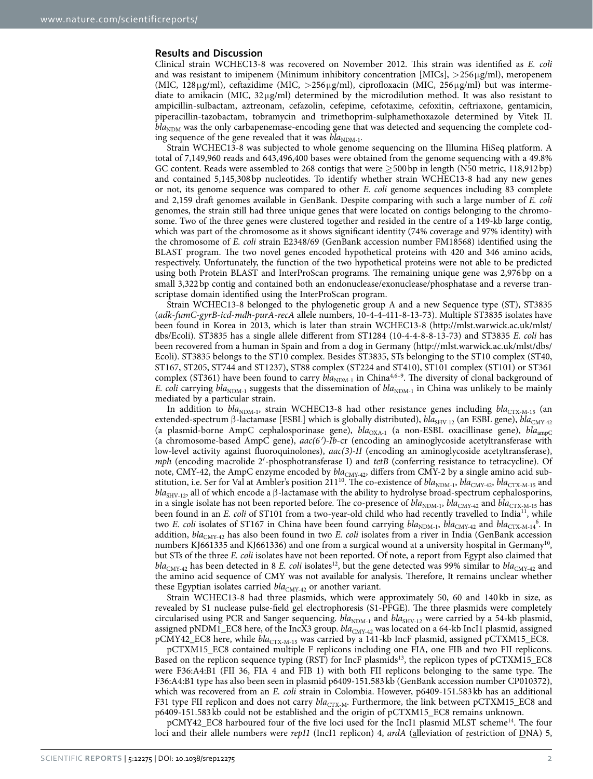#### **Results and Discussion**

Clinical strain WCHEC13-8 was recovered on November 2012. This strain was identified as *E. coli* and was resistant to imipenem (Minimum inhibitory concentration  $[MICs]$ ,  $>$ 256 $\mu$ g/ml), meropenem (MIC, 128μg/ml), ceftazidime (MIC, >256μg/ml), ciprofloxacin (MIC, 256μg/ml) but was intermediate to amikacin (MIC,  $32\mu\text{g/ml}$ ) determined by the microdilution method. It was also resistant to ampicillin-sulbactam, aztreonam, cefazolin, cefepime, cefotaxime, cefoxitin, ceftriaxone, gentamicin, piperacillin-tazobactam, tobramycin and trimethoprim-sulphamethoxazole determined by Vitek II.  $bla<sub>NDM</sub>$  was the only carbapenemase-encoding gene that was detected and sequencing the complete coding sequence of the gene revealed that it was  $bla_{\text{NDM-1}}$ .

Strain WCHEC13-8 was subjected to whole genome sequencing on the Illumina HiSeq platform. A total of 7,149,960 reads and 643,496,400 bases were obtained from the genome sequencing with a 49.8% GC content. Reads were assembled to 268 contigs that were  $\geq$  500 bp in length (N50 metric, 118,912 bp) and contained 5,145,308bp nucleotides. To identify whether strain WCHEC13-8 had any new genes or not, its genome sequence was compared to other *E. coli* genome sequences including 83 complete and 2,159 draft genomes available in GenBank. Despite comparing with such a large number of *E. coli* genomes, the strain still had three unique genes that were located on contigs belonging to the chromosome. Two of the three genes were clustered together and resided in the centre of a 149-kb large contig, which was part of the chromosome as it shows significant identity (74% coverage and 97% identity) with the chromosome of *E. coli* strain E2348/69 (GenBank accession number FM18568) identified using the BLAST program. The two novel genes encoded hypothetical proteins with 420 and 346 amino acids, respectively. Unfortunately, the function of the two hypothetical proteins were not able to be predicted using both Protein BLAST and InterProScan programs. The remaining unique gene was 2,976 bp on a small 3,322bp contig and contained both an endonuclease/exonuclease/phosphatase and a reverse transcriptase domain identified using the InterProScan program.

Strain WCHEC13-8 belonged to the phylogenetic group A and a new Sequence type (ST), ST3835 (*adk*-*fumC*-*gyrB*-*icd*-*mdh*-*purA*-*recA* allele numbers, 10-4-4-411-8-13-73). Multiple ST3835 isolates have been found in Korea in 2013, which is later than strain WCHEC13-8 ([http://mlst.warwick.ac.uk/mlst/](http://mlst.warwick.ac.uk/mlst/dbs/Ecoli) [dbs/Ecoli](http://mlst.warwick.ac.uk/mlst/dbs/Ecoli)). ST3835 has a single allele different from ST1284 (10-4-4-8-8-13-73) and ST3835 *E. coli* has been recovered from a human in Spain and from a dog in Germany [\(http://mlst.warwick.ac.uk/mlst/dbs/](http://mlst.warwick.ac.uk/mlst/dbs/Ecoli) [Ecoli\)](http://mlst.warwick.ac.uk/mlst/dbs/Ecoli). ST3835 belongs to the ST10 complex. Besides ST3835, STs belonging to the ST10 complex (ST40, ST167, ST205, ST744 and ST1237), ST88 complex (ST224 and ST410), ST101 complex (ST101) or ST361 complex (ST361) have been found to carry  $bla_{NDM-1}$  in China<sup>[4,](#page-6-1)6-9</sup>. The diversity of clonal background of *E. coli* carrying  $bla_{NDM-1}$  suggests that the dissemination of  $bla_{NDM-1}$  in China was unlikely to be mainly mediated by a particular strain.

In addition to  $bla_{NDM-1}$ , strain WCHEC13-8 had other resistance genes including  $bla_{CTX-M-15}$  (an extended-spectrum β-lactamase [ESBL] which is globally distributed), *bla*<sub>SHV-12</sub> (an ESBL gene), *bla*<sub>CMY-42</sub> (a plasmid-borne AmpC cephalosporinase gene), *bla*<sub>OXA-1</sub> (a non-ESBL oxacillinase gene), *bla*<sub>ampC</sub> (a chromosome-based AmpC gene), *aac(6′)-Ib*-cr (encoding an aminoglycoside acetyltransferase with low-level activity against fluoroquinolones), *aac(3)-II* (encoding an aminoglycoside acetyltransferase), *mph* (encoding macrolide 2′-phosphotransferase I) and *tetB* (conferring resistance to tetracycline). Of note, CMY-42, the AmpC enzyme encoded by *bla*<sub>CMY-42</sub>, differs from CMY-2 by a single amino acid substitution, i.e. Ser for Val at Ambler's position 211<sup>10</sup>. The co-existence of *bla*<sub>NDM-1</sub>, *bla*<sub>CMY-42</sub>, *bla*<sub>CTX-M-15</sub> and *bla*<sub>SHV-12</sub>, all of which encode a β-lactamase with the ability to hydrolyse broad-spectrum cephalosporins, in a single isolate has not been reported before. The co-presence of  $bla_{NDM-1}$ ,  $bla_{CMY-42}$  and  $bla_{CTX-M-15}$  has been found in an *E. coli* of ST101 from a two-year-old child who had recently travelled to India<sup>11</sup>, while two *E. coli* isolates of ST1[6](#page-6-3)7 in China have been found carrying  $bla_{\text{NDM-1}}$ ,  $bla_{\text{CMY-42}}$  and  $bla_{\text{CTX-M-14}}^6$ . In addition, *bla*<sub>CMY-42</sub> has also been found in two *E. coli* isolates from a river in India (GenBank accession numbers KJ661335 and KJ661336) and one from a surgical wound at a university hospital in Germany<sup>[10](#page-6-4)</sup>, but STs of the three *E. coli* isolates have not been reported. Of note, a report from Egypt also claimed that  $bla_{CMY-42}$  has been detected in 8 *E. coli* isolates<sup>12</sup>, but the gene detected was 99% similar to  $bla_{CMY-42}$  and the amino acid sequence of CMY was not available for analysis. Therefore, It remains unclear whether these Egyptian isolates carried *bla*<sub>CMY-42</sub> or another variant.

Strain WCHEC13-8 had three plasmids, which were approximately 50, 60 and 140 kb in size, as revealed by S1 nuclease pulse-field gel electrophoresis (S1-PFGE). The three plasmids were completely circularised using PCR and Sanger sequencing.  $bla_{NDM-1}$  and  $bla_{SHV-12}$  were carried by a 54-kb plasmid, assigned pNDM1\_EC8 here, of the IncX3 group.  $bla_{\text{CMY-42}}$  was located on a 64-kb IncI1 plasmid, assigned pCMY42\_EC8 here, while *bla*<sub>CTX-M-15</sub> was carried by a 141-kb IncF plasmid, assigned pCTXM15\_EC8.

pCTXM15\_EC8 contained multiple F replicons including one FIA, one FIB and two FII replicons. Based on the replicon sequence typing (RST) for IncF plasmids<sup>13</sup>, the replicon types of pCTXM15\_EC8 were F36:A4:B1 (FII 36, FIA 4 and FIB 1) with both FII replicons belonging to the same type. The F36:A4:B1 type has also been seen in plasmid p6409-151.583kb (GenBank accession number CP010372), which was recovered from an *E. coli* strain in Colombia. However, p6409-151.583 kb has an additional F31 type FII replicon and does not carry *bla<sub>CTX-M</sub>*. Furthermore, the link between pCTXM15\_EC8 and p6409-151.583 kb could not be established and the origin of pCTXM15\_EC8 remains unknown.

pCMY42\_EC8 harboured four of the five loci used for the IncI1 plasmid MLST scheme<sup>14</sup>. The four loci and their allele numbers were *repI1* (IncI1 replicon) 4, ardA (alleviation of restriction of DNA) 5,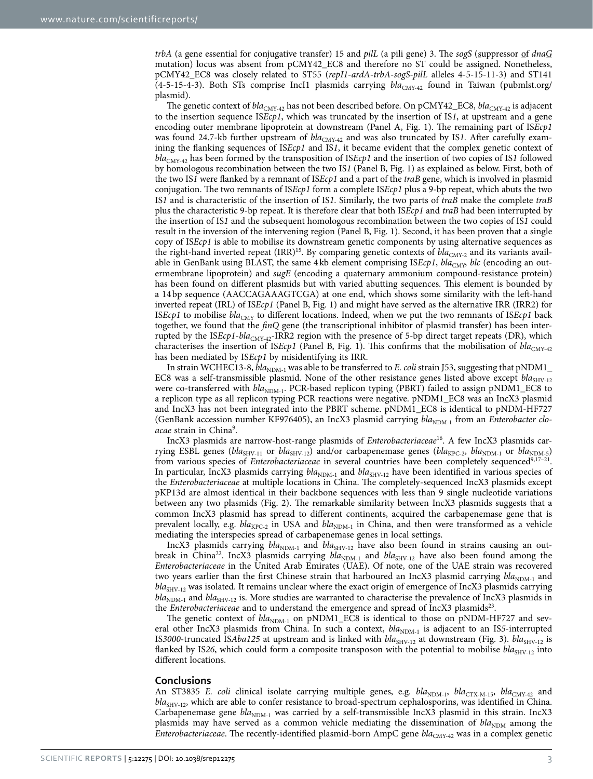*trbA* (a gene essential for conjugative transfer) 15 and *pilL* (a pili gene) 3. The *sogS* (suppressor of *dnaG* mutation) locus was absent from pCMY42\_EC8 and therefore no ST could be assigned. Nonetheless, pCMY42\_EC8 was closely related to ST55 (*repI1*-*ardA*-*trbA*-*sogS-pilL* alleles 4-5-15-11-3) and ST141  $(4-5-15-4-3)$ . Both STs comprise IncI1 plasmids carrying  $bla_{CMY-42}$  found in Taiwan (pubmlst.org/ plasmid).

The genetic context of *bla*<sub>CMY-42</sub> has not been described before. On pCMY42\_EC8, *bla*<sub>CMY-42</sub> is adjacent to the insertion sequence IS*Ecp1*, which was truncated by the insertion of IS*1*, at upstream and a gene encoding outer membrane lipoprotein at downstream (Panel A, [Fig. 1](#page-3-0)). The remaining part of IS*Ecp1* was found 24.7-kb further upstream of  $bla_{\text{CMY-42}}$  and was also truncated by IS1. After carefully examining the flanking sequences of IS*Ecp1* and IS*1*, it became evident that the complex genetic context of *bla*CMY-42 has been formed by the transposition of IS*Ecp1* and the insertion of two copies of IS*1* followed by homologous recombination between the two IS*1* (Panel B, [Fig. 1](#page-3-0)) as explained as below. First, both of the two IS*1* were flanked by a remnant of IS*Ecp1* and a part of the *traB* gene, which is involved in plasmid conjugation. The two remnants of IS*Ecp1* form a complete IS*Ecp1* plus a 9-bp repeat, which abuts the two IS*1* and is characteristic of the insertion of IS*1*. Similarly, the two parts of *traB* make the complete *traB* plus the characteristic 9-bp repeat. It is therefore clear that both IS*Ecp1* and *traB* had been interrupted by the insertion of IS*1* and the subsequent homologous recombination between the two copies of IS*1* could result in the inversion of the intervening region (Panel B, [Fig. 1](#page-3-0)). Second, it has been proven that a single copy of IS*Ecp1* is able to mobilise its downstream genetic components by using alternative sequences as the right-hand inverted repeat (IRR)<sup>15</sup>. By comparing genetic contexts of *bla*<sub>CMY-2</sub> and its variants available in GenBank using BLAST, the same 4 kb element comprising ISEcp1, bla<sub>CMY</sub>, blc (encoding an outermembrane lipoprotein) and *sugE* (encoding a quaternary ammonium compound-resistance protein) has been found on different plasmids but with varied abutting sequences. This element is bounded by a 14bp sequence (AACCAGAAAGTCGA) at one end, which shows some similarity with the left-hand inverted repeat (IRL) of IS*Ecp1* (Panel B, [Fig. 1](#page-3-0)) and might have served as the alternative IRR (IRR2) for IS*Ecp1* to mobilise  $bla_{\text{CMY}}$  to different locations. Indeed, when we put the two remnants of IS*Ecp1* back together, we found that the *finQ* gene (the transcriptional inhibitor of plasmid transfer) has been interrupted by the ISEcp1-bla<sub>CMY-42</sub>-IRR2 region with the presence of 5-bp direct target repeats (DR), which characterises the insertion of IS*Ecp1* (Panel B, Fig. 1). This confirms that the mobilisation of  $bla_{\text{CMY-42}}$ has been mediated by IS*Ecp1* by misidentifying its IRR.

In strain WCHEC13-8,  $bla_{NDM-1}$  was able to be transferred to *E. coli* strain J53, suggesting that  $pNDM1$ EC8 was a self-transmissible plasmid. None of the other resistance genes listed above except *bla*<sub>SHV-12</sub> were co-transferred with  $bla_{\text{NDM-1}}$ . PCR-based replicon typing (PBRT) failed to assign pNDM1\_EC8 to a replicon type as all replicon typing PCR reactions were negative. pNDM1\_EC8 was an IncX3 plasmid and IncX3 has not been integrated into the PBRT scheme. pNDM1\_EC8 is identical to pNDM-HF727 (GenBank accession number KF976405), an IncX3 plasmid carrying *bla*<sub>NDM-1</sub> from an *Enterobacter cloacae* strain in Chin[a9](#page-6-10) .

IncX3 plasmids are narrow-host-range plasmids of *Enterobacteriaceae*[16.](#page-6-11) A few IncX3 plasmids carrying ESBL genes ( $bla_{SHV-11}$  or  $bla_{SHY-12}$ ) and/or carbapenemase genes ( $bla_{RPC-2}$ ,  $bla_{NDM-1}$  or  $bla_{NDM-5}$ ) from various species of *Enterobacteriaceae* in several countries have been completely sequenced<sup>9[,17–21](#page-6-12)</sup>. In particular, IncX3 plasmids carrying *bla*<sub>NDM-1</sub> and *bla*<sub>SHV-12</sub> have been identified in various species of the *Enterobacteriaceae* at multiple locations in China. The completely-sequenced IncX3 plasmids except pKP13d are almost identical in their backbone sequences with less than 9 single nucleotide variations between any two plasmids [\(Fig. 2](#page-4-0)). The remarkable similarity between IncX3 plasmids suggests that a common IncX3 plasmid has spread to different continents, acquired the carbapenemase gene that is prevalent locally, e.g.  $bla_{\text{KPC-2}}$  in USA and  $bla_{\text{NDM-1}}$  in China, and then were transformed as a vehicle mediating the interspecies spread of carbapenemase genes in local settings.

IncX3 plasmids carrying  $bla_{\text{NDM-1}}$  and  $bla_{\text{SHV-12}}$  have also been found in strains causing an outbreak in China<sup>22</sup>. IncX3 plasmids carrying  $bla_{NDM-1}$  and  $bla_{SHV-12}$  have also been found among the *Enterobacteriaceae* in the United Arab Emirates (UAE). Of note, one of the UAE strain was recovered two years earlier than the first Chinese strain that harboured an IncX3 plasmid carrying  $bla_{\text{NDM-1}}$  and *bla*<sub>SHV-12</sub> was isolated. It remains unclear where the exact origin of emergence of IncX3 plasmids carrying *bla*<sub>NDM-1</sub> and *bla*<sub>SHV-12</sub> is. More studies are warranted to characterise the prevalence of IncX3 plasmids in the *Enterobacteriaceae* and to understand the emergence and spread of IncX3 plasmids<sup>23</sup>.

The genetic context of  $bla_{\text{NDM-1}}$  on pNDM1\_EC8 is identical to those on pNDM-HF727 and several other IncX3 plasmids from China. In such a context,  $bla_{NDM-1}$  is adjacent to an IS5-interrupted IS3000-truncated ISAba125 at upstream and is linked with *bla*<sub>SHV-12</sub> at downstream [\(Fig. 3\)](#page-5-2). *bla*<sub>SHV-12</sub> is flanked by IS26, which could form a composite transposon with the potential to mobilise  $bla_{\text{SHV-12}}$  into different locations.

#### **Conclusions**

An ST3835 *E. coli* clinical isolate carrying multiple genes, e.g.  $bla_{NDM-1}$ ,  $bla_{CTX-M-15}$ ,  $bla_{CMY-42}$  and bla<sub>SHV-12</sub>, which are able to confer resistance to broad-spectrum cephalosporins, was identified in China. Carbapenemase gene *bla*<sub>NDM-1</sub> was carried by a self-transmissible IncX3 plasmid in this strain. IncX3 plasmids may have served as a common vehicle mediating the dissemination of  $bla_{\text{NDM}}$  among the *Enterobacteriaceae*. The recently-identified plasmid-born AmpC gene *bla*<sub>CMY-42</sub> was in a complex genetic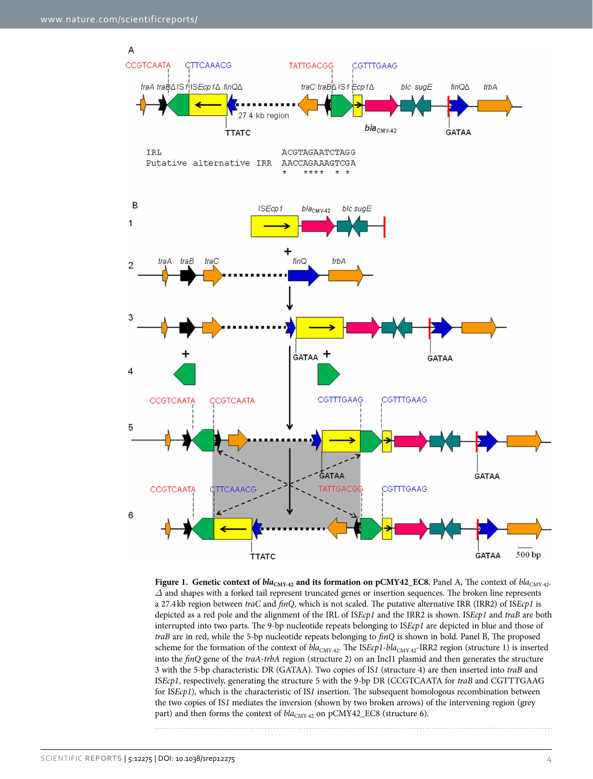

<span id="page-3-0"></span>**Figure 1. Genetic context of**  $bla_{\text{CMY-42}}$  **and its formation on pCMY42\_EC8.** Panel A, The context of  $bla_{\text{CMY-42}}$ . *Δ* and shapes with a forked tail represent truncated genes or insertion sequences. The broken line represents a 27.4kb region between *traC* and *finQ*, which is not scaled. The putative alternative IRR (IRR2) of IS*Ecp1* is depicted as a red pole and the alignment of the IRL of IS*Ecp1* and the IRR2 is shown. IS*Ecp1* and *traB* are both interrupted into two parts. The 9-bp nucleotide repeats belonging to IS*Ecp1* are depicted in blue and those of *traB* are in red, while the 5-bp nucleotide repeats belonging to *finQ* is shown in bold. Panel B, The proposed scheme for the formation of the context of  $bla_{\text{CMY-42}}$ . The IS*Ecp1*-bla<sub>CMY-42</sub>-IRR2 region (structure 1) is inserted into the *finQ* gene of the *traA*-*trbA* region (structure 2) on an IncI1 plasmid and then generates the structure 3 with the 5-bp characteristic DR (GATAA). Two copies of IS*1* (structure 4) are then inserted into *traB* and IS*Ecp1*, respectively, generating the structure 5 with the 9-bp DR (CCGTCAATA for *traB* and CGTTTGAAG for IS*Ecp1*), which is the characteristic of IS*1* insertion. The subsequent homologous recombination between the two copies of IS*1* mediates the inversion (shown by two broken arrows) of the intervening region (grey part) and then forms the context of  $bla_{CMY-42}$  on pCMY42\_EC8 (structure 6).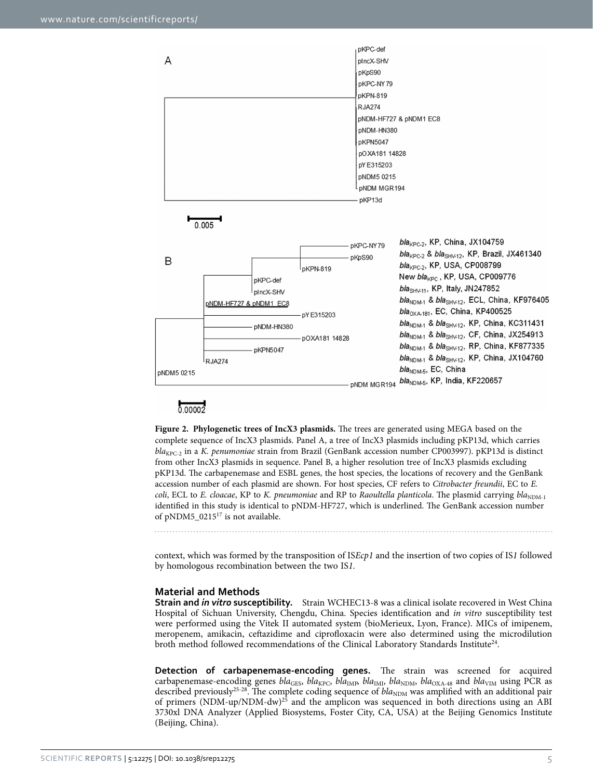

### $0.00002$

<span id="page-4-0"></span>**Figure 2. Phylogenetic trees of IncX3 plasmids.** The trees are generated using MEGA based on the complete sequence of IncX3 plasmids. Panel A, a tree of IncX3 plasmids including pKP13d, which carries *bla*<sub>KPC-2</sub> in a *K. penumoniae* strain from Brazil (GenBank accession number CP003997). pKP13d is distinct from other IncX3 plasmids in sequence. Panel B, a higher resolution tree of IncX3 plasmids excluding pKP13d. The carbapenemase and ESBL genes, the host species, the locations of recovery and the GenBank accession number of each plasmid are shown. For host species, CF refers to *Citrobacter freundii*, EC to *E. coli*, ECL to *E. cloacae*, KP to *K. pneumoniae* and RP to *Raoultella planticola*. The plasmid carrying  $bla_{\text{NDM-1}}$ identified in this study is identical to pNDM-HF727, which is underlined. The GenBank accession number of pNDM5\_0215<sup>17</sup> is not available.

context, which was formed by the transposition of IS*Ecp1* and the insertion of two copies of IS*1* followed by homologous recombination between the two IS*1*.

#### **Material and Methods**

**Strain and** *in vitro* **susceptibility.** Strain WCHEC13-8 was a clinical isolate recovered in West China Hospital of Sichuan University, Chengdu, China. Species identification and *in vitro* susceptibility test were performed using the Vitek II automated system (bioMerieux, Lyon, France). MICs of imipenem, meropenem, amikacin, ceftazidime and ciprofloxacin were also determined using the microdilution broth method followed recommendations of the Clinical Laboratory Standards Institute<sup>24</sup>.

**Detection of carbapenemase-encoding genes.** The strain was screened for acquired carbapenemase-encoding genes *bla*<sub>GES</sub>, *bla*<sub>KPC</sub>, *bla*<sub>IMP</sub>, *bla*<sub>IMP</sub>, *bla*<sub>NDM</sub>, *bla*<sub>OXA-48</sub> and *bla*<sub>VIM</sub> using PCR as described previously<sup>25-28</sup>. The complete coding sequence of *bla*<sub>NDM</sub> was amplified with an additional pair of primers (NDM-up/NDM-dw)[25](#page-6-16) and the amplicon was sequenced in both directions using an ABI 3730xl DNA Analyzer (Applied Biosystems, Foster City, CA, USA) at the Beijing Genomics Institute (Beijing, China).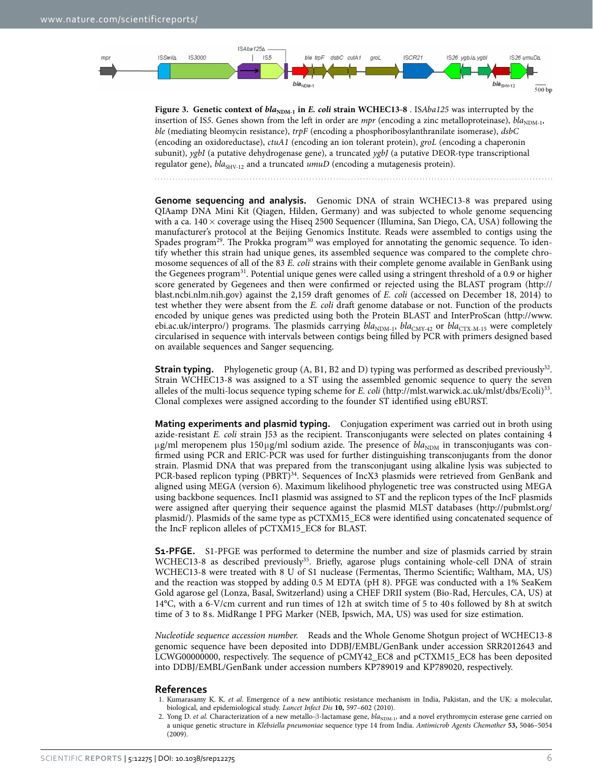

<span id="page-5-2"></span>**Figure 3.** Genetic context of  $bla_{\text{NDM-1}}$  in *E. coli* strain WCHEC13-8 . ISAba125 was interrupted by the insertion of IS5. Genes shown from the left in order are *mpr* (encoding a zinc metalloproteinase), *bla*<sub>NDM-1</sub>, *ble* (mediating bleomycin resistance), *trpF* (encoding a phosphoribosylanthranilate isomerase), *dsbC* (encoding an oxidoreductase), *ctuA1* (encoding an ion tolerant protein), *groL* (encoding a chaperonin subunit), *ygbI* (a putative dehydrogenase gene), a truncated *ygbJ* (a putative DEOR-type transcriptional regulator gene),  $bla<sub>SHV-12</sub>$  and a truncated *umuD* (encoding a mutagenesis protein).

**Genome sequencing and analysis.** Genomic DNA of strain WCHEC13-8 was prepared using QIAamp DNA Mini Kit (Qiagen, Hilden, Germany) and was subjected to whole genome sequencing with a ca.  $140 \times$  coverage using the Hiseq 2500 Sequencer (Illumina, San Diego, CA, USA) following the manufacturer's protocol at the Beijing Genomics Institute. Reads were assembled to contigs using the Spades program<sup>[29](#page-6-17)</sup>. The Prokka program<sup>30</sup> was employed for annotating the genomic sequence. To identify whether this strain had unique genes, its assembled sequence was compared to the complete chromosome sequences of all of the 83 *E. coli* strains with their complete genome available in GenBank using the Gegenees program<sup>31</sup>. Potential unique genes were called using a stringent threshold of a 0.9 or higher score generated by Gegenees and then were confirmed or rejected using the BLAST program ([http://](http://blast.ncbi.nlm.nih.gov) [blast.ncbi.nlm.nih.gov](http://blast.ncbi.nlm.nih.gov)) against the 2,159 draft genomes of *E. coli* (accessed on December 18, 2014) to test whether they were absent from the *E. coli* draft genome database or not. Function of the products encoded by unique genes was predicted using both the Protein BLAST and InterProScan [\(http://www.](http://www.ebi.ac.uk/interpro/) [ebi.ac.uk/interpro/\)](http://www.ebi.ac.uk/interpro/) programs. The plasmids carrying  $bla_{NDM-1}$ ,  $bla_{CNY-42}$  or  $bla_{CTX-M-15}$  were completely circularised in sequence with intervals between contigs being filled by PCR with primers designed based on available sequences and Sanger sequencing.

**Strain typing.** Phylogenetic group (A, B1, B2 and D) typing was performed as described previously<sup>[32](#page-6-20)</sup>. Strain WCHEC13-8 was assigned to a ST using the assembled genomic sequence to query the seven alleles of the multi-locus sequence typing scheme for *E. coli* (<http://mlst.warwick.ac.uk/mlst/dbs/Ecoli>)[33](#page-6-21). Clonal complexes were assigned according to the founder ST identified using eBURST.

**Mating experiments and plasmid typing.** Conjugation experiment was carried out in broth using azide-resistant *E. coli* strain J53 as the recipient. Transconjugants were selected on plates containing 4 μg/ml meropenem plus 150μg/ml sodium azide. The presence of *bla*<sub>NDM</sub> in transconjugants was confirmed using PCR and ERIC-PCR was used for further distinguishing transconjugants from the donor strain. Plasmid DNA that was prepared from the transconjugant using alkaline lysis was subjected to PCR-based replicon typing (PBRT)<sup>34</sup>. Sequences of IncX3 plasmids were retrieved from GenBank and aligned using MEGA (version 6). Maximum likelihood phylogenetic tree was constructed using MEGA using backbone sequences. IncI1 plasmid was assigned to ST and the replicon types of the IncF plasmids were assigned after querying their sequence against the plasmid MLST databases ([http://pubmlst.org/](http://pubmlst.org/plasmid/) [plasmid/](http://pubmlst.org/plasmid/)). Plasmids of the same type as pCTXM15\_EC8 were identified using concatenated sequence of the IncF replicon alleles of pCTXM15\_EC8 for BLAST.

**S1-PFGE.** S1-PFGE was performed to determine the number and size of plasmids carried by strain WCHEC13-8 as described previously<sup>35</sup>. Briefly, agarose plugs containing whole-cell DNA of strain WCHEC13-8 were treated with 8 U of S1 nuclease (Fermentas, Thermo Scientific; Waltham, MA, US) and the reaction was stopped by adding 0.5 M EDTA (pH 8). PFGE was conducted with a 1% SeaKem Gold agarose gel (Lonza, Basal, Switzerland) using a CHEF DRII system (Bio-Rad, Hercules, CA, US) at 14°C, with a 6-V/cm current and run times of 12h at switch time of 5 to 40 s followed by 8h at switch time of 3 to 8 s. MidRange I PFG Marker (NEB, Ipswich, MA, US) was used for size estimation.

*Nucleotide sequence accession number.* Reads and the Whole Genome Shotgun project of WCHEC13-8 genomic sequence have been deposited into DDBJ/EMBL/GenBank under accession SRR2012643 and LCWG00000000, respectively. The sequence of pCMY42\_EC8 and pCTXM15\_EC8 has been deposited into DDBJ/EMBL/GenBank under accession numbers KP789019 and KP789020, respectively.

#### **References**

- <span id="page-5-0"></span>1. Kumarasamy K. K. *et al.* Emergence of a new antibiotic resistance mechanism in India, Pakistan, and the UK: a molecular, biological, and epidemiological study. *Lancet Infect Dis* **10,** 597–602 (2010).
- <span id="page-5-1"></span>2. Yong D. *et al.* Characterization of a new metallo-β-lactamase gene,  $bla_{\text{NDM-1}}$ , and a novel erythromycin esterase gene carried on a unique genetic structure in *Klebsiella pneumoniae* sequence type 14 from India. *Antimicrob Agents Chemother* **53,** 5046–5054 (2009).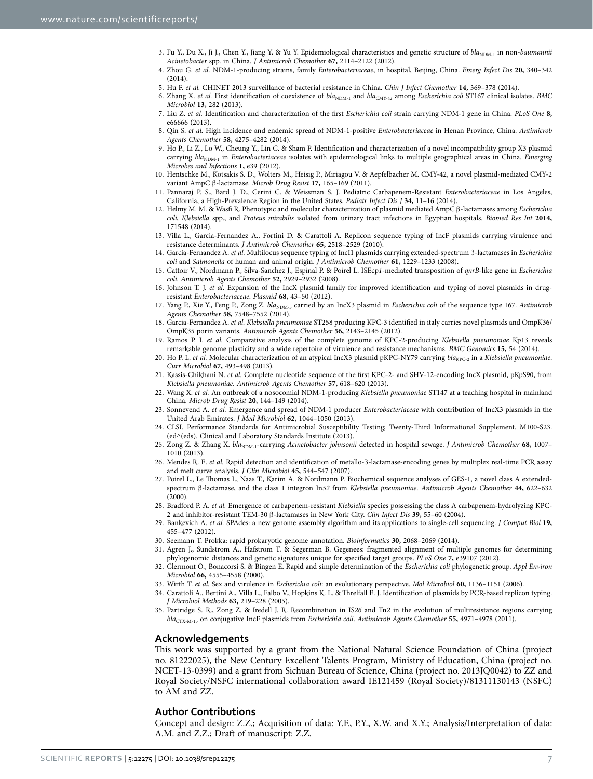- <span id="page-6-0"></span>3. Fu Y., Du X., Ji J., Chen Y., Jiang Y. & Yu Y. Epidemiological characteristics and genetic structure of  $bla_{NDM-1}$  in non-*baumannii Acinetobacter* spp. in China. *J Antimicrob Chemother* **67,** 2114–2122 (2012).
- <span id="page-6-1"></span>4. Zhou G. *et al.* NDM-1-producing strains, family *Enterobacteriaceae*, in hospital, Beijing, China. *Emerg Infect Dis* **20,** 340–342  $(2014)$
- <span id="page-6-2"></span>5. Hu F. *et al.* CHINET 2013 surveillance of bacterial resistance in China. *Chin J Infect Chemother* **14,** 369–378 (2014).
- <span id="page-6-3"></span>6. Zhang X. *et al.* First identification of coexistence of *bla*<sub>NDM-1</sub> and *bla*<sub>CMY-42</sub> among *Escherichia coli* ST167 clinical isolates. *BMC Microbiol* **13,** 282 (2013).
- 7. Liu Z. *et al.* Identification and characterization of the first *Escherichia coli* strain carrying NDM-1 gene in China. *PLoS One* **8,** e66666 (2013).
- 8. Qin S. *et al.* High incidence and endemic spread of NDM-1-positive *Enterobacteriaceae* in Henan Province, China. *Antimicrob Agents Chemother* **58,** 4275–4282 (2014).
- <span id="page-6-10"></span>9. Ho P., Li Z., Lo W., Cheung Y., Lin C. & Sham P. Identification and characterization of a novel incompatibility group X3 plasmid carrying *bla*<sub>NDM-1</sub> in *Enterobacteriaceae* isolates with epidemiological links to multiple geographical areas in China. *Emerging Microbes and Infections* **1,** e39 (2012).
- <span id="page-6-4"></span>10. Hentschke M., Kotsakis S. D., Wolters M., Heisig P., Miriagou V. & Aepfelbacher M. CMY-42, a novel plasmid-mediated CMY-2 variant AmpC β-lactamase. *Microb Drug Resist* **17,** 165–169 (2011).
- <span id="page-6-5"></span>11. Pannaraj P. S., Bard J. D., Cerini C. & Weissman S. J. Pediatric Carbapenem-Resistant *Enterobacteriaceae* in Los Angeles, California, a High-Prevalence Region in the United States. *Pediatr Infect Dis J* **34,** 11–16 (2014).
- <span id="page-6-6"></span>12. Helmy M. M. & Wasfi R. Phenotypic and molecular characterization of plasmid mediated AmpC β-lactamases among *Escherichia coli*, *Klebsiella* spp., and *Proteus mirabilis* isolated from urinary tract infections in Egyptian hospitals. *Biomed Res Int* **2014,** 171548 (2014).
- <span id="page-6-7"></span>13. Villa L., Garcia-Fernandez A., Fortini D. & Carattoli A. Replicon sequence typing of IncF plasmids carrying virulence and resistance determinants. *J Antimicrob Chemother* **65,** 2518–2529 (2010).
- <span id="page-6-8"></span>14. Garcia-Fernandez A. *et al.* Multilocus sequence typing of IncI1 plasmids carrying extended-spectrum β-lactamases in *Escherichia coli* and *Salmonella* of human and animal origin. *J Antimicrob Chemother* **61,** 1229–1233 (2008).
- <span id="page-6-9"></span>15. Cattoir V., Nordmann P., Silva-Sanchez J., Espinal P. & Poirel L. ISEcp*1*-mediated transposition of *qnrB*-like gene in *Escherichia coli*. *Antimicrob Agents Chemother* **52,** 2929–2932 (2008).
- <span id="page-6-11"></span>16. Johnson T. J. *et al.* Expansion of the IncX plasmid family for improved identification and typing of novel plasmids in drugresistant *Enterobacteriaceae*. *Plasmid* **68,** 43–50 (2012).
- <span id="page-6-12"></span>17. Yang P., Xie Y., Feng P., Zong Z. *bla*<sub>NDM-5</sub> carried by an IncX3 plasmid in *Escherichia coli* of the sequence type 167. *Antimicrob Agents Chemother* **58,** 7548–7552 (2014).
- 18. Garcia-Fernandez A. *et al. Klebsiella pneumoniae* ST258 producing KPC-3 identified in italy carries novel plasmids and OmpK36/ OmpK35 porin variants. *Antimicrob Agents Chemother* **56,** 2143–2145 (2012).
- 19. Ramos P. I. *et al.* Comparative analysis of the complete genome of KPC-2-producing *Klebsiella pneumoniae* Kp13 reveals remarkable genome plasticity and a wide repertoire of virulence and resistance mechanisms. *BMC Genomics* **15,** 54 (2014).
- 20. Ho P. L. et al. Molecular characterization of an atypical IncX3 plasmid pKPC-NY79 carrying *bla<sub>KPC-2</sub>* in a *Klebsiella pneumoniae*. *Curr Microbiol* **67,** 493–498 (2013).
- 21. Kassis-Chikhani N. *et al.* Complete nucleotide sequence of the first KPC-2- and SHV-12-encoding IncX plasmid, pKpS90, from *Klebsiella pneumoniae*. *Antimicrob Agents Chemother* **57,** 618–620 (2013).
- <span id="page-6-13"></span>22. Wang X. *et al.* An outbreak of a nosocomial NDM-1-producing *Klebsiella pneumoniae* ST147 at a teaching hospital in mainland China. *Microb Drug Resist* **20,** 144–149 (2014).
- <span id="page-6-14"></span>23. Sonnevend A. *et al.* Emergence and spread of NDM-1 producer *Enterobacteriaceae* with contribution of IncX3 plasmids in the United Arab Emirates. *J Med Microbiol* **62,** 1044–1050 (2013).
- <span id="page-6-15"></span>24. CLSI. Performance Standards for Antimicrobial Susceptibility Testing; Twenty-Third Informational Supplement. M100-S23. (ed^(eds). Clinical and Laboratory Standards Institute (2013).
- <span id="page-6-16"></span>25. Zong Z. & Zhang X. bla<sub>NDM-1</sub>-carrying *Acinetobacter johnsonii* detected in hospital sewage. *J Antimicrob Chemother* 68, 1007-1010 (2013).
- 26. Mendes R. E. *et al.* Rapid detection and identification of metallo-β-lactamase-encoding genes by multiplex real-time PCR assay and melt curve analysis. *J Clin Microbiol* **45,** 544–547 (2007).
- 27. Poirel L., Le Thomas I., Naas T., Karim A. & Nordmann P. Biochemical sequence analyses of GES-1, a novel class A extendedspectrum β-lactamase, and the class 1 integron In*52* from *Klebsiella pneumoniae*. *Antimicrob Agents Chemother* **44,** 622–632 (2000).
- 28. Bradford P. A. *et al.* Emergence of carbapenem-resistant *Klebsiella* species possessing the class A carbapenem-hydrolyzing KPC-2 and inhibitor-resistant TEM-30 β-lactamases in New York City. *Clin Infect Dis* **39,** 55–60 (2004).
- <span id="page-6-17"></span>29. Bankevich A. *et al.* SPAdes: a new genome assembly algorithm and its applications to single-cell sequencing. *J Comput Biol* **19,** 455–477 (2012).
- <span id="page-6-19"></span><span id="page-6-18"></span>30. Seemann T. Prokka: rapid prokaryotic genome annotation. *Bioinformatics* **30,** 2068–2069 (2014).
- 31. Agren J., Sundstrom A., Hafstrom T. & Segerman B. Gegenees: fragmented alignment of multiple genomes for determining phylogenomic distances and genetic signatures unique for specified target groups. *PLoS One* **7,** e39107 (2012).
- <span id="page-6-20"></span>32. Clermont O., Bonacorsi S. & Bingen E. Rapid and simple determination of the *Escherichia coli* phylogenetic group. *Appl Environ Microbiol* **66,** 4555–4558 (2000).
- <span id="page-6-21"></span>33. Wirth T. *et al.* Sex and virulence in *Escherichia coli*: an evolutionary perspective. *Mol Microbiol* **60,** 1136–1151 (2006).
- <span id="page-6-22"></span>34. Carattoli A., Bertini A., Villa L., Falbo V., Hopkins K. L. & Threlfall E. J. Identification of plasmids by PCR-based replicon typing. *J Microbiol Methods* **63,** 219–228 (2005).
- <span id="page-6-23"></span>35. Partridge S. R., Zong Z. & Iredell J. R. Recombination in IS*26* and Tn*2* in the evolution of multiresistance regions carrying *bla*CTX-M-15 on conjugative IncF plasmids from *Escherichia coli*. *Antimicrob Agents Chemother* **55,** 4971–4978 (2011).

#### **Acknowledgements**

This work was supported by a grant from the National Natural Science Foundation of China (project no. 81222025), the New Century Excellent Talents Program, Ministry of Education, China (project no. NCET-13-0399) and a grant from Sichuan Bureau of Science, China (project no. 2013JQ0042) to ZZ and Royal Society/NSFC international collaboration award IE121459 (Royal Society)/81311130143 (NSFC) to AM and ZZ.

#### **Author Contributions**

Concept and design: Z.Z.; Acquisition of data: Y.F., P.Y., X.W. and X.Y.; Analysis/Interpretation of data: A.M. and Z.Z.; Draft of manuscript: Z.Z.